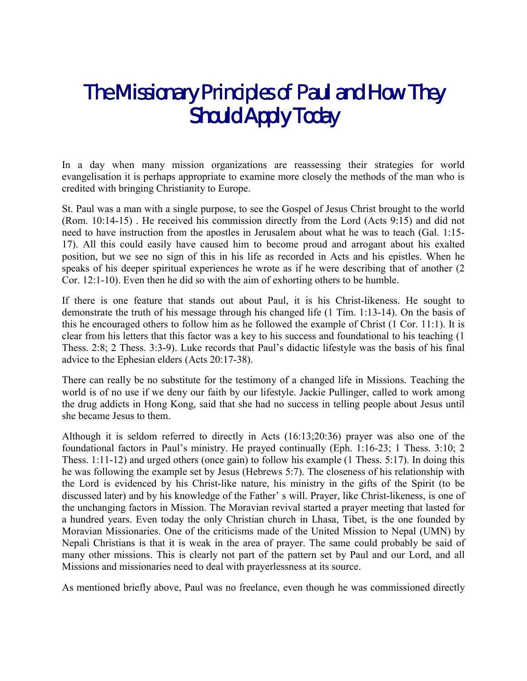## *The Missionary Principles of Paul and How They Should Apply Today*

In a day when many mission organizations are reassessing their strategies for world evangelisation it is perhaps appropriate to examine more closely the methods of the man who is credited with bringing Christianity to Europe.

St. Paul was a man with a single purpose, to see the Gospel of Jesus Christ brought to the world (Rom. 10:14-15) . He received his commission directly from the Lord (Acts 9:15) and did not need to have instruction from the apostles in Jerusalem about what he was to teach (Gal. 1:15- 17). All this could easily have caused him to become proud and arrogant about his exalted position, but we see no sign of this in his life as recorded in Acts and his epistles. When he speaks of his deeper spiritual experiences he wrote as if he were describing that of another (2 Cor. 12:1-10). Even then he did so with the aim of exhorting others to be humble.

If there is one feature that stands out about Paul, it is his Christ-likeness. He sought to demonstrate the truth of his message through his changed life (1 Tim. 1:13-14). On the basis of this he encouraged others to follow him as he followed the example of Christ (1 Cor. 11:1). It is clear from his letters that this factor was a key to his success and foundational to his teaching (1 Thess. 2:8; 2 Thess. 3:3-9). Luke records that Paul's didactic lifestyle was the basis of his final advice to the Ephesian elders (Acts 20:17-38).

There can really be no substitute for the testimony of a changed life in Missions. Teaching the world is of no use if we deny our faith by our lifestyle. Jackie Pullinger, called to work among the drug addicts in Hong Kong, said that she had no success in telling people about Jesus until she became Jesus to them.

Although it is seldom referred to directly in Acts (16:13;20:36) prayer was also one of the foundational factors in Paul's ministry. He prayed continually (Eph. 1:16-23; 1 Thess. 3:10; 2 Thess. 1:11-12) and urged others (once gain) to follow his example (1 Thess. 5:17). In doing this he was following the example set by Jesus (Hebrews 5:7). The closeness of his relationship with the Lord is evidenced by his Christ-like nature, his ministry in the gifts of the Spirit (to be discussed later) and by his knowledge of the Father' s will. Prayer, like Christ-likeness, is one of the unchanging factors in Mission. The Moravian revival started a prayer meeting that lasted for a hundred years. Even today the only Christian church in Lhasa, Tibet, is the one founded by Moravian Missionaries. One of the criticisms made of the United Mission to Nepal (UMN) by Nepali Christians is that it is weak in the area of prayer. The same could probably be said of many other missions. This is clearly not part of the pattern set by Paul and our Lord, and all Missions and missionaries need to deal with prayerlessness at its source.

As mentioned briefly above, Paul was no freelance, even though he was commissioned directly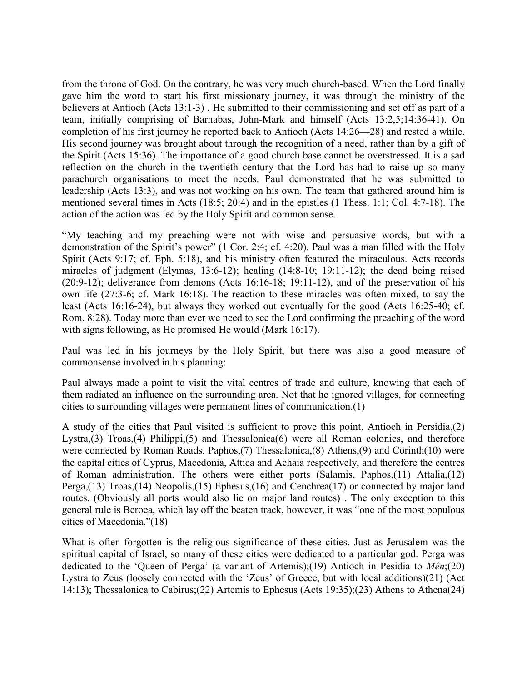from the throne of God. On the contrary, he was very much church-based. When the Lord finally gave him the word to start his first missionary journey, it was through the ministry of the believers at Antioch (Acts 13:1-3) . He submitted to their commissioning and set off as part of a team, initially comprising of Barnabas, John-Mark and himself (Acts 13:2,5;14:36-41). On completion of his first journey he reported back to Antioch (Acts 14:26—28) and rested a while. His second journey was brought about through the recognition of a need, rather than by a gift of the Spirit (Acts 15:36). The importance of a good church base cannot be overstressed. It is a sad reflection on the church in the twentieth century that the Lord has had to raise up so many parachurch organisations to meet the needs. Paul demonstrated that he was submitted to leadership (Acts 13:3), and was not working on his own. The team that gathered around him is mentioned several times in Acts (18:5; 20:4) and in the epistles (1 Thess. 1:1; Col. 4:7-18). The action of the action was led by the Holy Spirit and common sense.

"My teaching and my preaching were not with wise and persuasive words, but with a demonstration of the Spirit's power" (1 Cor. 2:4; cf. 4:20). Paul was a man filled with the Holy Spirit (Acts 9:17; cf. Eph. 5:18), and his ministry often featured the miraculous. Acts records miracles of judgment (Elymas, 13:6-12); healing (14:8-10; 19:11-12); the dead being raised (20:9-12); deliverance from demons (Acts 16:16-18; 19:11-12), and of the preservation of his own life (27:3-6; cf. Mark 16:18). The reaction to these miracles was often mixed, to say the least (Acts 16:16-24), but always they worked out eventually for the good (Acts 16:25-40; cf. Rom. 8:28). Today more than ever we need to see the Lord confirming the preaching of the word with signs following, as He promised He would (Mark 16:17).

Paul was led in his journeys by the Holy Spirit, but there was also a good measure of commonsense involved in his planning:

Paul always made a point to visit the vital centres of trade and culture, knowing that each of them radiated an influence on the surrounding area. Not that he ignored villages, for connecting cities to surrounding villages were permanent lines of communication.(1)

A study of the cities that Paul visited is sufficient to prove this point. Antioch in Persidia,(2) Lystra,(3) Troas,(4) Philippi,(5) and Thessalonica(6) were all Roman colonies, and therefore were connected by Roman Roads. Paphos,(7) Thessalonica,(8) Athens,(9) and Corinth(10) were the capital cities of Cyprus, Macedonia, Attica and Achaia respectively, and therefore the centres of Roman administration. The others were either ports (Salamis, Paphos,(11) Attalia,(12) Perga,(13) Troas,(14) Neopolis,(15) Ephesus,(16) and Cenchrea(17) or connected by major land routes. (Obviously all ports would also lie on major land routes) . The only exception to this general rule is Beroea, which lay off the beaten track, however, it was "one of the most populous cities of Macedonia."(18)

What is often forgotten is the religious significance of these cities. Just as Jerusalem was the spiritual capital of Israel, so many of these cities were dedicated to a particular god. Perga was dedicated to the 'Queen of Perga' (a variant of Artemis);(19) Antioch in Pesidia to *Mên*;(20) Lystra to Zeus (loosely connected with the 'Zeus' of Greece, but with local additions)(21) (Act 14:13); Thessalonica to Cabirus;(22) Artemis to Ephesus (Acts 19:35);(23) Athens to Athena(24)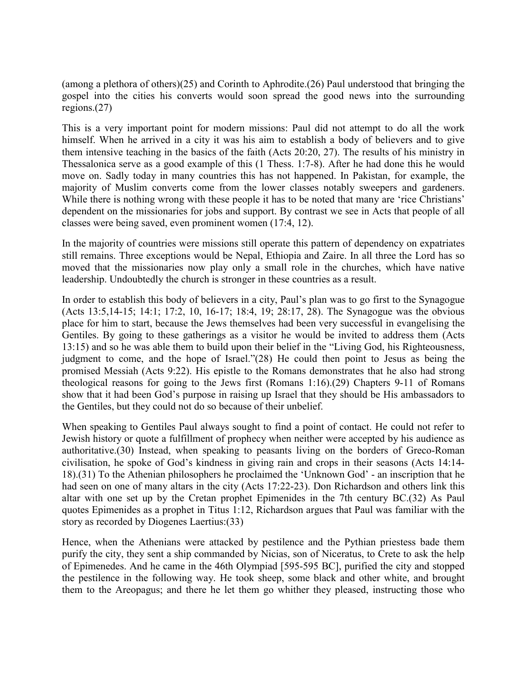(among a plethora of others)(25) and Corinth to Aphrodite.(26) Paul understood that bringing the gospel into the cities his converts would soon spread the good news into the surrounding regions.(27)

This is a very important point for modern missions: Paul did not attempt to do all the work himself. When he arrived in a city it was his aim to establish a body of believers and to give them intensive teaching in the basics of the faith (Acts 20:20, 27). The results of his ministry in Thessalonica serve as a good example of this (1 Thess. 1:7-8). After he had done this he would move on. Sadly today in many countries this has not happened. In Pakistan, for example, the majority of Muslim converts come from the lower classes notably sweepers and gardeners. While there is nothing wrong with these people it has to be noted that many are 'rice Christians' dependent on the missionaries for jobs and support. By contrast we see in Acts that people of all classes were being saved, even prominent women (17:4, 12).

In the majority of countries were missions still operate this pattern of dependency on expatriates still remains. Three exceptions would be Nepal, Ethiopia and Zaire. In all three the Lord has so moved that the missionaries now play only a small role in the churches, which have native leadership. Undoubtedly the church is stronger in these countries as a result.

In order to establish this body of believers in a city, Paul's plan was to go first to the Synagogue (Acts 13:5,14-15; 14:1; 17:2, 10, 16-17; 18:4, 19; 28:17, 28). The Synagogue was the obvious place for him to start, because the Jews themselves had been very successful in evangelising the Gentiles. By going to these gatherings as a visitor he would be invited to address them (Acts 13:15) and so he was able them to build upon their belief in the "Living God, his Righteousness, judgment to come, and the hope of Israel."(28) He could then point to Jesus as being the promised Messiah (Acts 9:22). His epistle to the Romans demonstrates that he also had strong theological reasons for going to the Jews first (Romans 1:16).(29) Chapters 9-11 of Romans show that it had been God's purpose in raising up Israel that they should be His ambassadors to the Gentiles, but they could not do so because of their unbelief.

When speaking to Gentiles Paul always sought to find a point of contact. He could not refer to Jewish history or quote a fulfillment of prophecy when neither were accepted by his audience as authoritative.(30) Instead, when speaking to peasants living on the borders of Greco-Roman civilisation, he spoke of God's kindness in giving rain and crops in their seasons (Acts 14:14- 18).(31) To the Athenian philosophers he proclaimed the 'Unknown God' - an inscription that he had seen on one of many altars in the city (Acts 17:22-23). Don Richardson and others link this altar with one set up by the Cretan prophet Epimenides in the 7th century BC.(32) As Paul quotes Epimenides as a prophet in Titus 1:12, Richardson argues that Paul was familiar with the story as recorded by Diogenes Laertius:(33)

Hence, when the Athenians were attacked by pestilence and the Pythian priestess bade them purify the city, they sent a ship commanded by Nicias, son of Niceratus, to Crete to ask the help of Epimenedes. And he came in the 46th Olympiad [595-595 BC], purified the city and stopped the pestilence in the following way. He took sheep, some black and other white, and brought them to the Areopagus; and there he let them go whither they pleased, instructing those who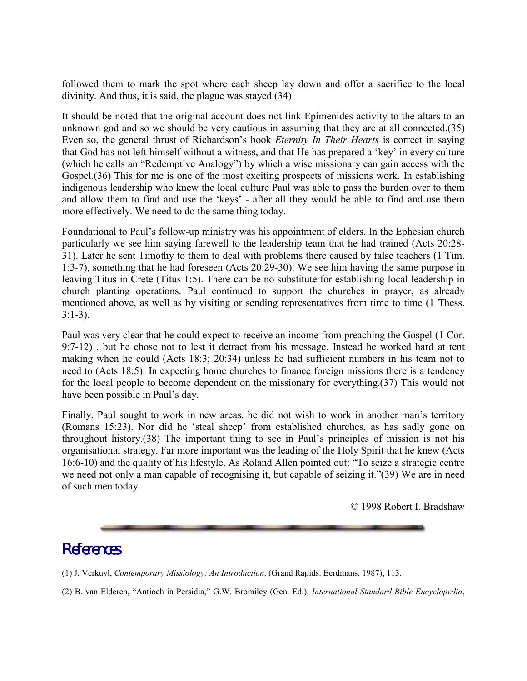followed them to mark the spot where each sheep lay down and offer a sacrifice to the local divinity. And thus, it is said, the plague was stayed.(34)

It should be noted that the original account does not link Epimenides activity to the altars to an unknown god and so we should be very cautious in assuming that they are at all connected.(35) Even so, the general thrust of Richardson's book *Eternity In Their Hearts* is correct in saying that God has not left himself without a witness, and that He has prepared a 'key' in every culture (which he calls an "Redemptive Analogy") by which a wise missionary can gain access with the Gospel.(36) This for me is one of the most exciting prospects of missions work. In establishing indigenous leadership who knew the local culture Paul was able to pass the burden over to them and allow them to find and use the 'keys' - after all they would be able to find and use them more effectively. We need to do the same thing today.

Foundational to Paul's follow-up ministry was his appointment of elders. In the Ephesian church particularly we see him saying farewell to the leadership team that he had trained (Acts 20:28- 31). Later he sent Timothy to them to deal with problems there caused by false teachers (1 Tim. 1:3-7), something that he had foreseen (Acts 20:29-30). We see him having the same purpose in leaving Titus in Crete (Titus 1:5). There can be no substitute for establishing local leadership in church planting operations. Paul continued to support the churches in prayer, as already mentioned above, as well as by visiting or sending representatives from time to time (1 Thess. 3:1-3).

Paul was very clear that he could expect to receive an income from preaching the Gospel (1 Cor. 9:7-12) , but he chose not to lest it detract from his message. Instead he worked hard at tent making when he could (Acts 18:3; 20:34) unless he had sufficient numbers in his team not to need to (Acts 18:5). In expecting home churches to finance foreign missions there is a tendency for the local people to become dependent on the missionary for everything.(37) This would not have been possible in Paul's day.

Finally, Paul sought to work in new areas. he did not wish to work in another man's territory (Romans 15:23). Nor did he 'steal sheep' from established churches, as has sadly gone on throughout history.(38) The important thing to see in Paul's principles of mission is not his organisational strategy. Far more important was the leading of the Holy Spirit that he knew (Acts 16:6-10) and the quality of his lifestyle. As Roland Allen pointed out: "To seize a strategic centre we need not only a man capable of recognising it, but capable of seizing it."(39) We are in need of such men today.

© 1998 Robert I. Bradshaw

## *References*

(1) J. Verkuyl, *Contemporary Missiology: An Introduction*. (Grand Rapids: Eerdmans, 1987), 113.

(2) B. van Elderen, "Antioch in Persidia," G.W. Bromiley (Gen. Ed.), *International Standard Bible Encyclopedia*,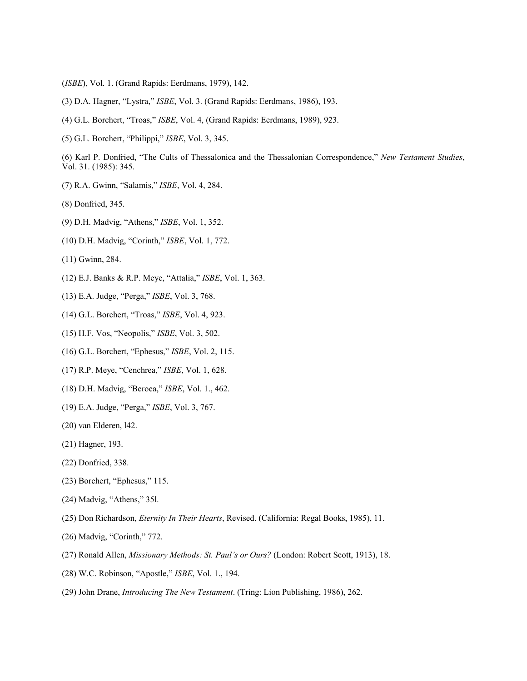- (*ISBE*), Vol. 1. (Grand Rapids: Eerdmans, 1979), 142.
- (3) D.A. Hagner, "Lystra," *ISBE*, Vol. 3. (Grand Rapids: Eerdmans, 1986), 193.
- (4) G.L. Borchert, "Troas," *ISBE*, Vol. 4, (Grand Rapids: Eerdmans, 1989), 923.
- (5) G.L. Borchert, "Philippi," *ISBE*, Vol. 3, 345.

(6) Karl P. Donfried, "The Cults of Thessalonica and the Thessalonian Correspondence," *New Testament Studies*, Vol. 31. (1985): 345.

- (7) R.A. Gwinn, "Salamis," *ISBE*, Vol. 4, 284.
- (8) Donfried, 345.
- (9) D.H. Madvig, "Athens," *ISBE*, Vol. 1, 352.
- (10) D.H. Madvig, "Corinth," *ISBE*, Vol. 1, 772.
- (11) Gwinn, 284.
- (12) E.J. Banks & R.P. Meye, "Attalia," *ISBE*, Vol. 1, 363.
- (13) E.A. Judge, "Perga," *ISBE*, Vol. 3, 768.
- (14) G.L. Borchert, "Troas," *ISBE*, Vol. 4, 923.
- (15) H.F. Vos, "Neopolis," *ISBE*, Vol. 3, 502.
- (16) G.L. Borchert, "Ephesus," *ISBE*, Vol. 2, 115.
- (17) R.P. Meye, "Cenchrea," *ISBE*, Vol. 1, 628.
- (18) D.H. Madvig, "Beroea," *ISBE*, Vol. 1., 462.
- (19) E.A. Judge, "Perga," *ISBE*, Vol. 3, 767.
- (20) van Elderen, l42.
- (21) Hagner, 193.
- (22) Donfried, 338.
- (23) Borchert, "Ephesus," 115.
- (24) Madvig, "Athens," 35l.
- (25) Don Richardson, *Eternity In Their Hearts*, Revised. (California: Regal Books, 1985), 11.
- (26) Madvig, "Corinth," 772.
- (27) Ronald Allen, *Missionary Methods: St. Paul's or Ours?* (London: Robert Scott, 1913), 18.
- (28) W.C. Robinson, "Apostle," *ISBE*, Vol. 1., 194.
- (29) John Drane, *Introducing The New Testament*. (Tring: Lion Publishing, 1986), 262.